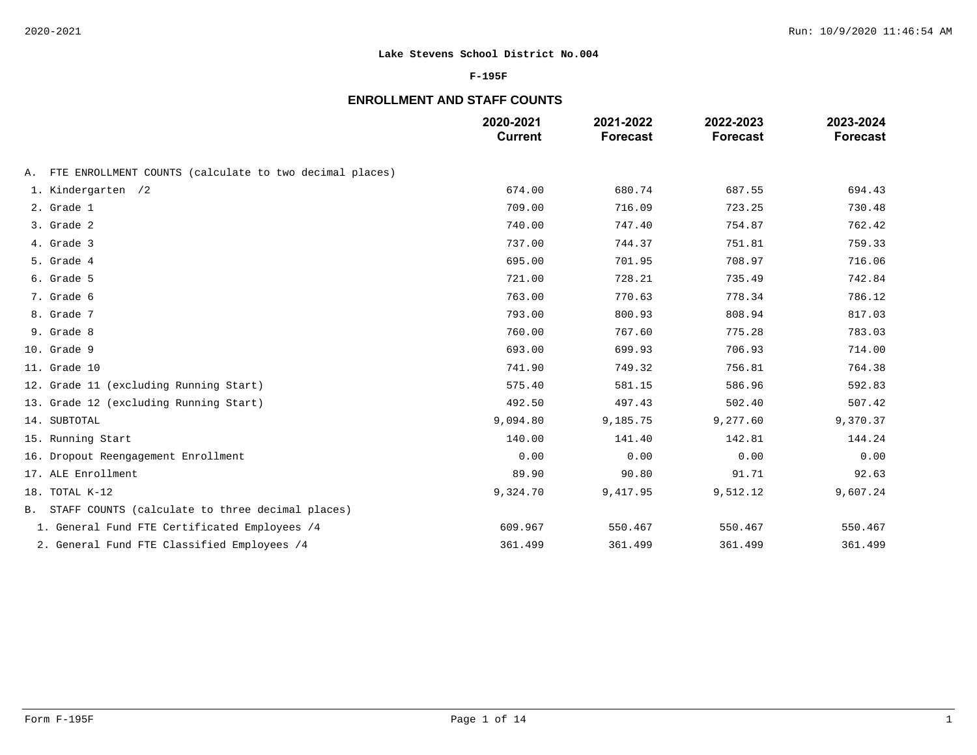### **F-195F**

# **ENROLLMENT AND STAFF COUNTS**

|                                                            | 2020-2021<br><b>Current</b> | 2021-2022<br><b>Forecast</b> | 2022-2023<br><b>Forecast</b> | 2023-2024<br><b>Forecast</b> |
|------------------------------------------------------------|-----------------------------|------------------------------|------------------------------|------------------------------|
| A. FTE ENROLLMENT COUNTS (calculate to two decimal places) |                             |                              |                              |                              |
| 1. Kindergarten /2                                         | 674.00                      | 680.74                       | 687.55                       | 694.43                       |
| 2. Grade 1                                                 | 709.00                      | 716.09                       | 723.25                       | 730.48                       |
| 3. Grade 2                                                 | 740.00                      | 747.40                       | 754.87                       | 762.42                       |
| 4. Grade 3                                                 | 737.00                      | 744.37                       | 751.81                       | 759.33                       |
| 5. Grade 4                                                 | 695.00                      | 701.95                       | 708.97                       | 716.06                       |
| 6. Grade 5                                                 | 721.00                      | 728.21                       | 735.49                       | 742.84                       |
| 7. Grade 6                                                 | 763.00                      | 770.63                       | 778.34                       | 786.12                       |
| 8. Grade 7                                                 | 793.00                      | 800.93                       | 808.94                       | 817.03                       |
| 9. Grade 8                                                 | 760.00                      | 767.60                       | 775.28                       | 783.03                       |
| 10. Grade 9                                                | 693.00                      | 699.93                       | 706.93                       | 714.00                       |
| 11. Grade 10                                               | 741.90                      | 749.32                       | 756.81                       | 764.38                       |
| 12. Grade 11 (excluding Running Start)                     | 575.40                      | 581.15                       | 586.96                       | 592.83                       |
| 13. Grade 12 (excluding Running Start)                     | 492.50                      | 497.43                       | 502.40                       | 507.42                       |
| 14. SUBTOTAL                                               | 9,094.80                    | 9,185.75                     | 9,277.60                     | 9,370.37                     |
| 15. Running Start                                          | 140.00                      | 141.40                       | 142.81                       | 144.24                       |
| 16. Dropout Reengagement Enrollment                        | 0.00                        | 0.00                         | 0.00                         | 0.00                         |
| 17. ALE Enrollment                                         | 89.90                       | 90.80                        | 91.71                        | 92.63                        |
| 18. TOTAL K-12                                             | 9,324.70                    | 9,417.95                     | 9,512.12                     | 9,607.24                     |
| B. STAFF COUNTS (calculate to three decimal places)        |                             |                              |                              |                              |
| 1. General Fund FTE Certificated Employees /4              | 609.967                     | 550.467                      | 550.467                      | 550.467                      |
| 2. General Fund FTE Classified Employees /4                | 361.499                     | 361.499                      | 361.499                      | 361.499                      |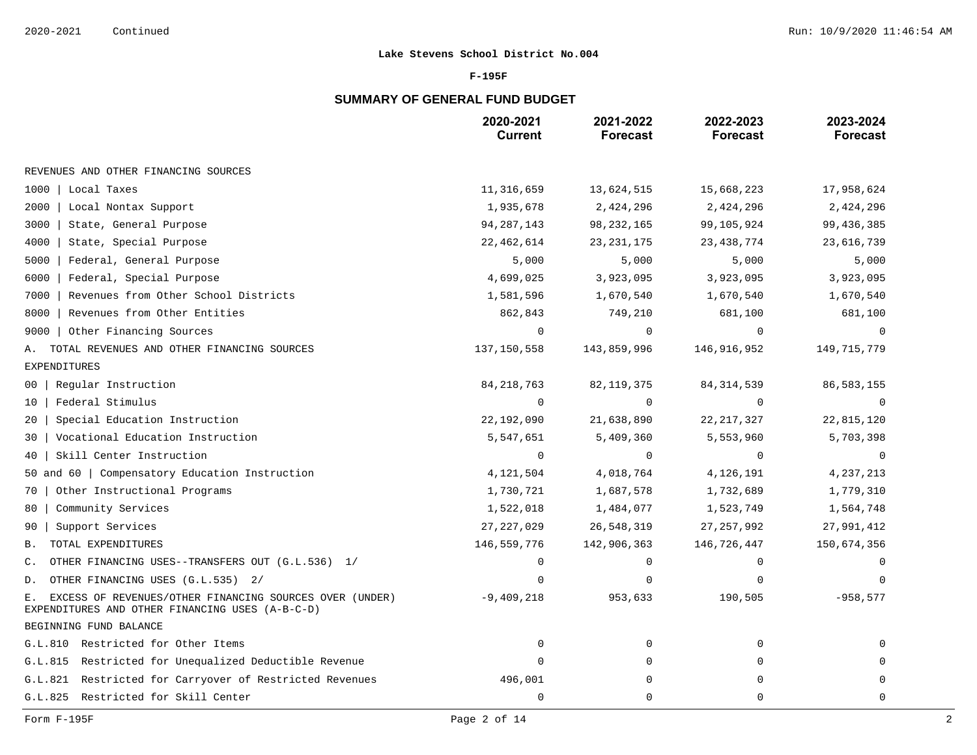### **F-195F**

# **SUMMARY OF GENERAL FUND BUDGET**

|                                                                                                                  | 2020-2021<br><b>Current</b> | 2021-2022<br><b>Forecast</b> | 2022-2023<br><b>Forecast</b> | 2023-2024<br><b>Forecast</b> |
|------------------------------------------------------------------------------------------------------------------|-----------------------------|------------------------------|------------------------------|------------------------------|
| REVENUES AND OTHER FINANCING SOURCES                                                                             |                             |                              |                              |                              |
| 1000<br>Local Taxes                                                                                              | 11,316,659                  | 13,624,515                   | 15,668,223                   | 17,958,624                   |
| 2000<br>Local Nontax Support                                                                                     | 1,935,678                   | 2,424,296                    | 2,424,296                    | 2,424,296                    |
| 3000<br>State, General Purpose                                                                                   | 94, 287, 143                | 98, 232, 165                 | 99,105,924                   | 99,436,385                   |
| 4000<br>State, Special Purpose                                                                                   | 22, 462, 614                | 23, 231, 175                 | 23, 438, 774                 | 23,616,739                   |
| Federal, General Purpose<br>5000                                                                                 | 5,000                       | 5,000                        | 5,000                        | 5,000                        |
| 6000<br>Federal, Special Purpose                                                                                 | 4,699,025                   | 3,923,095                    | 3,923,095                    | 3,923,095                    |
| Revenues from Other School Districts<br>7000                                                                     | 1,581,596                   | 1,670,540                    | 1,670,540                    | 1,670,540                    |
| Revenues from Other Entities<br>8000                                                                             | 862,843                     | 749,210                      | 681,100                      | 681,100                      |
| Other Financing Sources<br>9000                                                                                  | $\Omega$                    | $\Omega$                     | $\Omega$                     |                              |
| TOTAL REVENUES AND OTHER FINANCING SOURCES<br>А.                                                                 | 137,150,558                 | 143,859,996                  | 146,916,952                  | 149, 715, 779                |
| <b>EXPENDITURES</b>                                                                                              |                             |                              |                              |                              |
| Regular Instruction<br>00                                                                                        | 84, 218, 763                | 82, 119, 375                 | 84, 314, 539                 | 86, 583, 155                 |
| Federal Stimulus<br>10                                                                                           | $\mathbf 0$                 | 0                            | $\overline{0}$               | $\Omega$                     |
| Special Education Instruction<br>20                                                                              | 22,192,090                  | 21,638,890                   | 22, 217, 327                 | 22,815,120                   |
| Vocational Education Instruction<br>30                                                                           | 5,547,651                   | 5,409,360                    | 5,553,960                    | 5,703,398                    |
| Skill Center Instruction<br>40                                                                                   | $\mathbf 0$                 | 0                            | $\overline{0}$               | 0                            |
| 50 and 60   Compensatory Education Instruction                                                                   | 4,121,504                   | 4,018,764                    | 4,126,191                    | 4, 237, 213                  |
| Other Instructional Programs<br>70                                                                               | 1,730,721                   | 1,687,578                    | 1,732,689                    | 1,779,310                    |
| Community Services<br>80                                                                                         | 1,522,018                   | 1,484,077                    | 1,523,749                    | 1,564,748                    |
| Support Services<br>90                                                                                           | 27, 227, 029                | 26,548,319                   | 27, 257, 992                 | 27,991,412                   |
| TOTAL EXPENDITURES<br>В.                                                                                         | 146,559,776                 | 142,906,363                  | 146,726,447                  | 150,674,356                  |
| OTHER FINANCING USES--TRANSFERS OUT (G.L.536) 1/<br>$\mathsf{C}$ .                                               | $\mathbf 0$                 | 0                            | $\mathbf 0$                  | $\Omega$                     |
| OTHER FINANCING USES (G.L.535) 2/<br>D.                                                                          | $\Omega$                    | 0                            | $\mathbf 0$                  | $\Omega$                     |
| EXCESS OF REVENUES/OTHER FINANCING SOURCES OVER (UNDER)<br>Е.<br>EXPENDITURES AND OTHER FINANCING USES (A-B-C-D) | $-9,409,218$                | 953,633                      | 190,505                      | $-958,577$                   |
| BEGINNING FUND BALANCE                                                                                           |                             |                              |                              |                              |
| G.L.810 Restricted for Other Items                                                                               | $\mathbf 0$                 | 0                            | $\mathbf 0$                  |                              |
| Restricted for Unequalized Deductible Revenue<br>G.L.815                                                         | $\Omega$                    | 0                            | 0                            |                              |
| Restricted for Carryover of Restricted Revenues<br>G.L.821                                                       | 496,001                     | 0                            | $\Omega$                     | $\Omega$                     |
| G.L.825<br>Restricted for Skill Center                                                                           | $\mathbf 0$                 | 0                            | $\mathbf 0$                  | 0                            |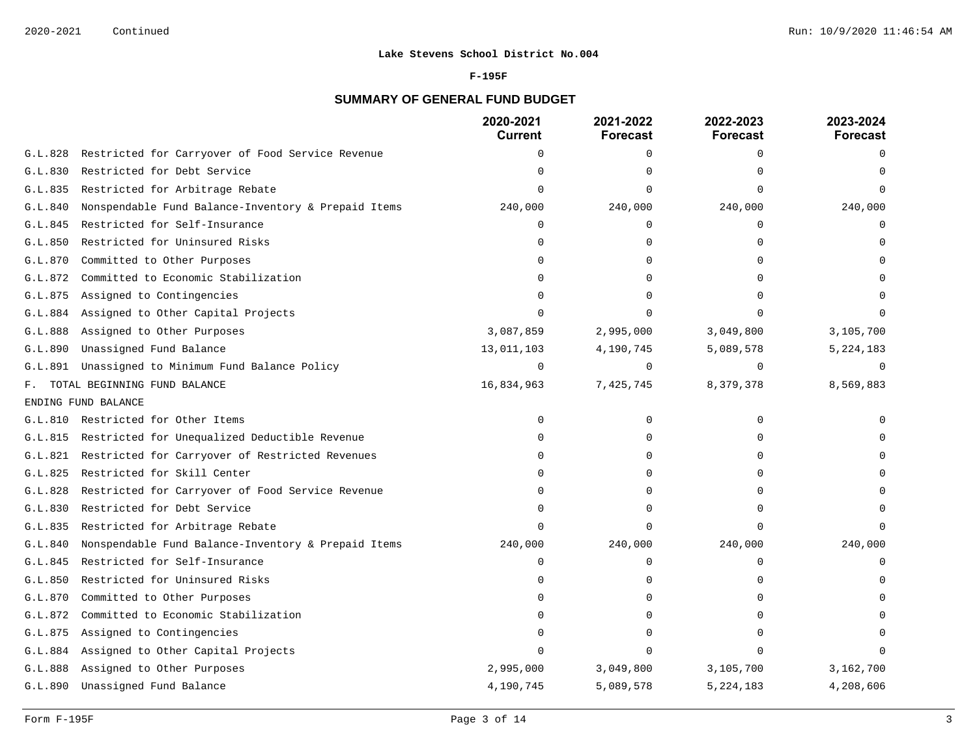#### **F-195F**

# **SUMMARY OF GENERAL FUND BUDGET**

|         |                                                     | 2020-2021<br><b>Current</b> | 2021-2022<br><b>Forecast</b> | 2022-2023<br><b>Forecast</b> | 2023-2024<br><b>Forecast</b> |
|---------|-----------------------------------------------------|-----------------------------|------------------------------|------------------------------|------------------------------|
| G.L.828 | Restricted for Carryover of Food Service Revenue    | 0                           | $\mathbf 0$                  | $\Omega$                     | $\Omega$                     |
| G.L.830 | Restricted for Debt Service                         | <sup>n</sup>                | $\Omega$                     | $\cap$                       |                              |
| G.L.835 | Restricted for Arbitrage Rebate                     | $\cap$                      | $\Omega$                     |                              |                              |
| G.L.840 | Nonspendable Fund Balance-Inventory & Prepaid Items | 240,000                     | 240,000                      | 240,000                      | 240,000                      |
| G.L.845 | Restricted for Self-Insurance                       | $\Omega$                    | $\Omega$                     | $\Omega$                     | $\Omega$                     |
| G.L.850 | Restricted for Uninsured Risks                      | $\Omega$                    | $\Omega$                     | ∩                            |                              |
| G.L.870 | Committed to Other Purposes                         |                             | $\Omega$                     |                              |                              |
| G.L.872 | Committed to Economic Stabilization                 |                             | $\Omega$                     |                              |                              |
| G.L.875 | Assigned to Contingencies                           |                             | $\Omega$                     |                              |                              |
| G.L.884 | Assigned to Other Capital Projects                  |                             |                              |                              |                              |
| G.L.888 | Assigned to Other Purposes                          | 3,087,859                   | 2,995,000                    | 3,049,800                    | 3,105,700                    |
| G.L.890 | Unassigned Fund Balance                             | 13,011,103                  | 4,190,745                    | 5,089,578                    | 5,224,183                    |
| G.L.891 | Unassigned to Minimum Fund Balance Policy           | $\mathbf 0$                 | $\mathbf 0$                  | $\Omega$                     | $\Omega$                     |
| F.      | TOTAL BEGINNING FUND BALANCE                        | 16,834,963                  | 7,425,745                    | 8,379,378                    | 8,569,883                    |
|         | ENDING FUND BALANCE                                 |                             |                              |                              |                              |
| G.L.810 | Restricted for Other Items                          | 0                           | $\mathbf 0$                  | $\Omega$                     |                              |
| G.L.815 | Restricted for Unequalized Deductible Revenue       | $\Omega$                    | 0                            | $\cap$                       |                              |
| G.L.821 | Restricted for Carryover of Restricted Revenues     | $\Omega$                    | $\Omega$                     | $\Omega$                     |                              |
| G.L.825 | Restricted for Skill Center                         | <sup>n</sup>                | $\Omega$                     | $\Omega$                     |                              |
| G.L.828 | Restricted for Carryover of Food Service Revenue    | $\cap$                      | $\Omega$                     | $\cap$                       |                              |
| G.L.830 | Restricted for Debt Service                         | $\Omega$                    | $\Omega$                     | $\Omega$                     |                              |
| G.L.835 | Restricted for Arbitrage Rebate                     | $\Omega$                    | $\Omega$                     | $\Omega$                     | $\cap$                       |
| G.L.840 | Nonspendable Fund Balance-Inventory & Prepaid Items | 240,000                     | 240,000                      | 240,000                      | 240,000                      |
| G.L.845 | Restricted for Self-Insurance                       | $\Omega$                    | $\Omega$                     | $\Omega$                     | $\Omega$                     |
| G.L.850 | Restricted for Uninsured Risks                      | $\Omega$                    | $\Omega$                     | $\Omega$                     |                              |
| G.L.870 | Committed to Other Purposes                         | $\Omega$                    | $\Omega$                     | ∩                            |                              |
| G.L.872 | Committed to Economic Stabilization                 |                             | $\Omega$                     |                              |                              |
| G.L.875 | Assigned to Contingencies                           | <sup>n</sup>                | $\Omega$                     |                              |                              |
| G.L.884 | Assigned to Other Capital Projects                  |                             | $\Omega$                     |                              |                              |
| G.L.888 | Assigned to Other Purposes                          | 2,995,000                   | 3,049,800                    | 3,105,700                    | 3,162,700                    |
| G.L.890 | Unassigned Fund Balance                             | 4,190,745                   | 5,089,578                    | 5,224,183                    | 4,208,606                    |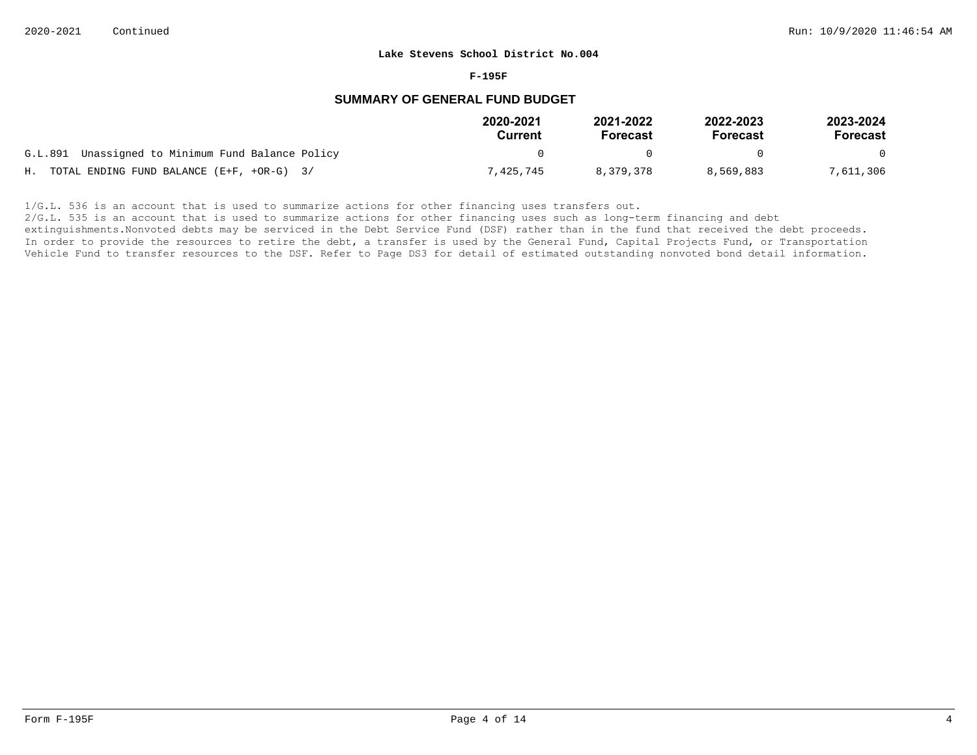#### **F-195F**

## **SUMMARY OF GENERAL FUND BUDGET**

|                                                   | 2020-2021<br>Current | 2021-2022<br><b>Forecast</b> | 2022-2023<br>Forecast | 2023-2024<br>Forecast |
|---------------------------------------------------|----------------------|------------------------------|-----------------------|-----------------------|
| G.L.891 Unassigned to Minimum Fund Balance Policy |                      |                              |                       |                       |
| H. TOTAL ENDING FUND BALANCE $(E+F, +OR-G)$ 3/    | 7,425,745            | 8,379,378                    | 8,569,883             | 7,611,306             |

 $1/G.L.$  536 is an account that is used to summarize actions for other financing uses transfers out.

2/G.L. 535 is an account that is used to summarize actions for other financing uses such as long-term financing and debt

extinguishments. Nonvoted debts may be serviced in the Debt Service Fund (DSF) rather than in the fund that received the debt proceeds. In order to provide the resources to retire the debt, a transfer is used by the General Fund, Capital Projects Fund, or Transportation Vehicle Fund to transfer resources to the DSF. Refer to Page DS3 for detail of estimated outstanding nonvoted bond detail information.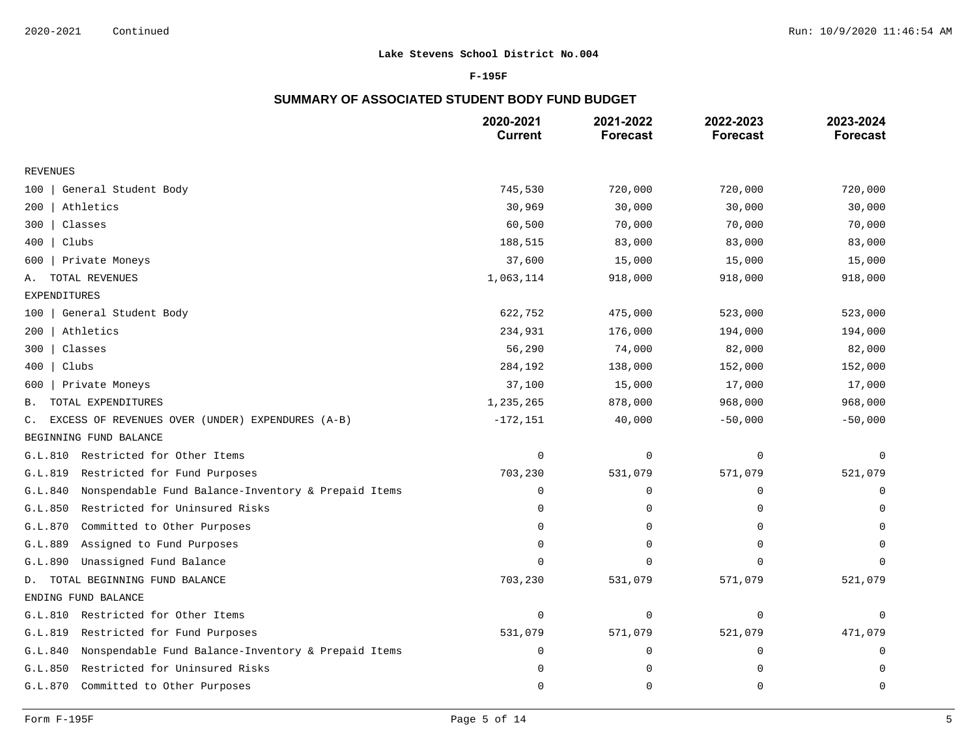### **F-195F**

# **SUMMARY OF ASSOCIATED STUDENT BODY FUND BUDGET**

|                                                                    | 2020-2021<br><b>Current</b> | 2021-2022<br><b>Forecast</b> | 2022-2023<br><b>Forecast</b> | 2023-2024<br><b>Forecast</b> |
|--------------------------------------------------------------------|-----------------------------|------------------------------|------------------------------|------------------------------|
| <b>REVENUES</b>                                                    |                             |                              |                              |                              |
| General Student Body<br>100                                        | 745,530                     | 720,000                      | 720,000                      | 720,000                      |
| Athletics<br>200                                                   | 30,969                      | 30,000                       | 30,000                       | 30,000                       |
| Classes<br>300                                                     | 60,500                      | 70,000                       | 70,000                       | 70,000                       |
| Clubs<br>400                                                       | 188,515                     | 83,000                       | 83,000                       | 83,000                       |
| Private Moneys<br>600                                              | 37,600                      | 15,000                       | 15,000                       | 15,000                       |
| TOTAL REVENUES<br>Α.                                               | 1,063,114                   | 918,000                      | 918,000                      | 918,000                      |
| <b>EXPENDITURES</b>                                                |                             |                              |                              |                              |
| General Student Body<br>100                                        | 622,752                     | 475,000                      | 523,000                      | 523,000                      |
| Athletics<br>200                                                   | 234,931                     | 176,000                      | 194,000                      | 194,000                      |
| Classes<br>300                                                     | 56,290                      | 74,000                       | 82,000                       | 82,000                       |
| Clubs<br>400                                                       | 284,192                     | 138,000                      | 152,000                      | 152,000                      |
| Private Moneys<br>600                                              | 37,100                      | 15,000                       | 17,000                       | 17,000                       |
| TOTAL EXPENDITURES<br>Β.                                           | 1,235,265                   | 878,000                      | 968,000                      | 968,000                      |
| EXCESS OF REVENUES OVER (UNDER) EXPENDURES (A-B)<br>$\mathsf{C}$ . | $-172, 151$                 | 40,000                       | $-50,000$                    | $-50,000$                    |
| BEGINNING FUND BALANCE                                             |                             |                              |                              |                              |
| G.L.810<br>Restricted for Other Items                              | $\mathbf 0$                 | $\mathbf 0$                  | $\mathsf 0$                  | $\mathbf 0$                  |
| G.L.819<br>Restricted for Fund Purposes                            | 703,230                     | 531,079                      | 571,079                      | 521,079                      |
| Nonspendable Fund Balance-Inventory & Prepaid Items<br>G.L.840     | $\mathbf 0$                 | $\mathbf 0$                  | $\mathbf 0$                  | 0                            |
| Restricted for Uninsured Risks<br>G.L.850                          | $\Omega$                    | $\Omega$                     | $\Omega$                     | $\Omega$                     |
| G.L.870<br>Committed to Other Purposes                             | $\Omega$                    | $\mathbf 0$                  | 0                            | $\Omega$                     |
| G.L.889<br>Assigned to Fund Purposes                               | $\Omega$                    | 0                            | $\Omega$                     | $\Omega$                     |
| Unassigned Fund Balance<br>G.L.890                                 | $\Omega$                    | $\Omega$                     | $\Omega$                     | $\Omega$                     |
| TOTAL BEGINNING FUND BALANCE<br>D.                                 | 703,230                     | 531,079                      | 571,079                      | 521,079                      |
| ENDING FUND BALANCE                                                |                             |                              |                              |                              |
| Restricted for Other Items<br>G.L.810                              | $\mathbf 0$                 | $\mathbf 0$                  | 0                            | $\Omega$                     |
| G.L.819<br>Restricted for Fund Purposes                            | 531,079                     | 571,079                      | 521,079                      | 471,079                      |
| Nonspendable Fund Balance-Inventory & Prepaid Items<br>G.L.840     | 0                           | 0                            | 0                            | 0                            |
| Restricted for Uninsured Risks<br>G.L.850                          | 0                           | $\mathbf 0$                  | 0                            | $\mathbf 0$                  |
| G.L.870<br>Committed to Other Purposes                             | $\overline{0}$              | $\Omega$                     | 0                            | $\mathbf 0$                  |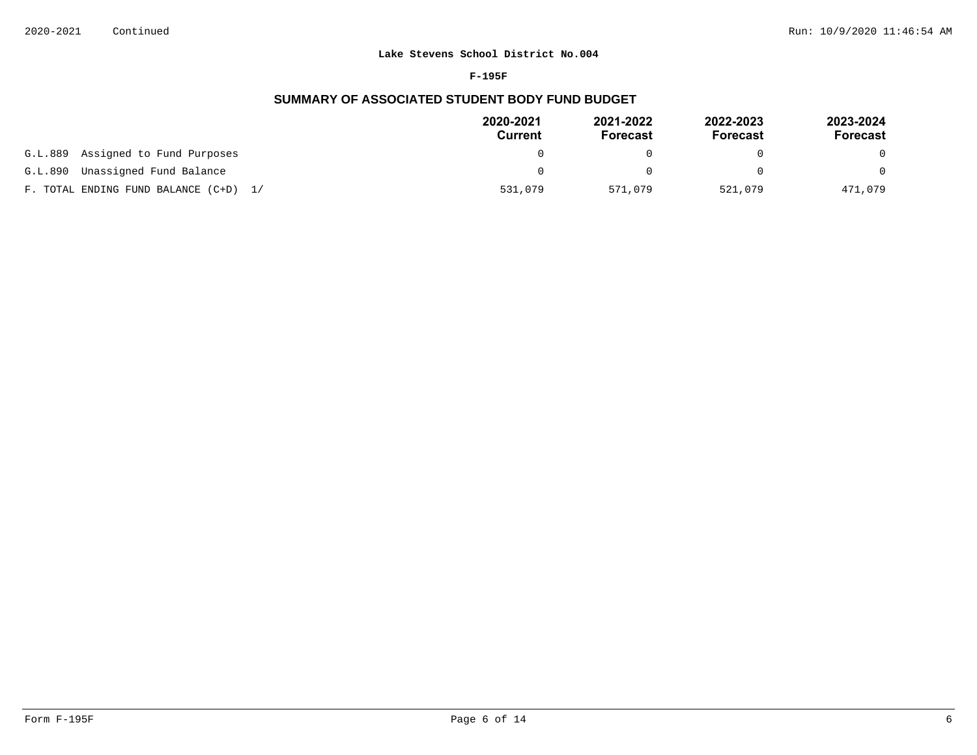#### **F-195F**

# **SUMMARY OF ASSOCIATED STUDENT BODY FUND BUDGET**

|                                       | 2020-2021<br>Current | 2021-2022<br>Forecast | 2022-2023<br>Forecast | 2023-2024<br>Forecast |
|---------------------------------------|----------------------|-----------------------|-----------------------|-----------------------|
| Assigned to Fund Purposes<br>G.L.889  |                      |                       |                       | 0                     |
| Unassigned Fund Balance<br>G.L.890    |                      |                       |                       | $\Omega$              |
| F. TOTAL ENDING FUND BALANCE (C+D) 1/ | 531,079              | 571,079               | 521,079               | 471,079               |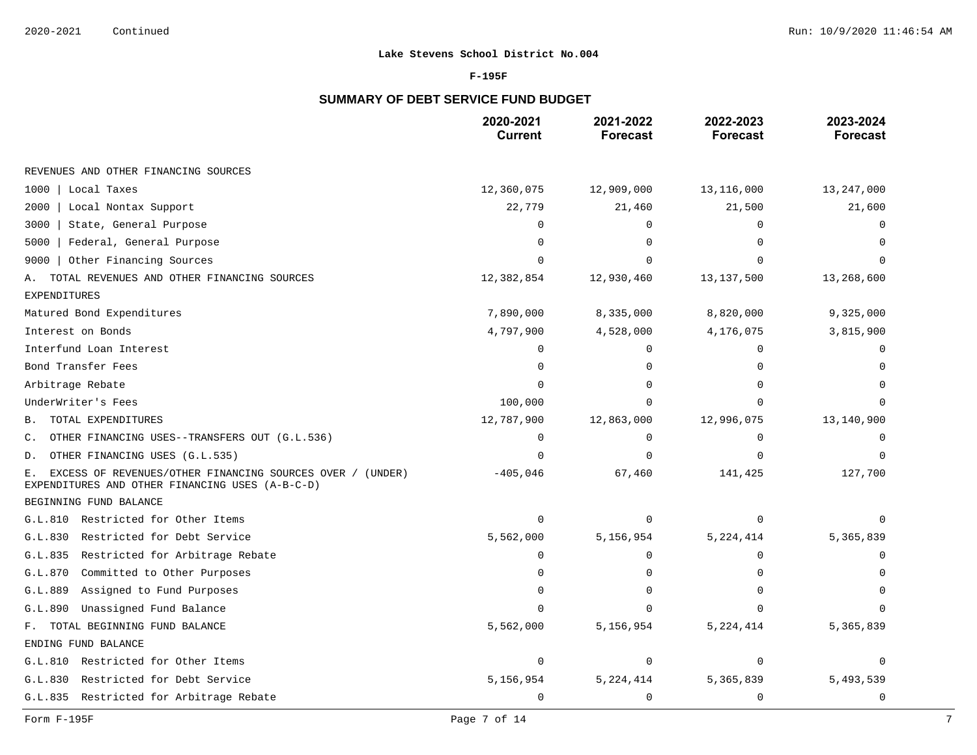### **F-195F**

# **SUMMARY OF DEBT SERVICE FUND BUDGET**

|                                                                                                                    | 2020-2021<br><b>Current</b> | 2021-2022<br><b>Forecast</b> | 2022-2023<br><b>Forecast</b> | 2023-2024<br><b>Forecast</b> |
|--------------------------------------------------------------------------------------------------------------------|-----------------------------|------------------------------|------------------------------|------------------------------|
| REVENUES AND OTHER FINANCING SOURCES                                                                               |                             |                              |                              |                              |
| 1000<br>Local Taxes                                                                                                | 12,360,075                  | 12,909,000                   | 13, 116, 000                 | 13,247,000                   |
| 2000<br>Local Nontax Support                                                                                       | 22,779                      | 21,460                       | 21,500                       | 21,600                       |
| State, General Purpose<br>3000                                                                                     | $\Omega$                    | $\Omega$                     | 0                            | $\Omega$                     |
| Federal, General Purpose<br>5000                                                                                   | $\Omega$                    | 0                            | $\Omega$                     | $\Omega$                     |
| Other Financing Sources<br>9000                                                                                    | $\Omega$                    | $\Omega$                     | $\Omega$                     |                              |
| TOTAL REVENUES AND OTHER FINANCING SOURCES<br>Α.                                                                   | 12,382,854                  | 12,930,460                   | 13, 137, 500                 | 13,268,600                   |
| <b>EXPENDITURES</b>                                                                                                |                             |                              |                              |                              |
| Matured Bond Expenditures                                                                                          | 7,890,000                   | 8,335,000                    | 8,820,000                    | 9,325,000                    |
| Interest on Bonds                                                                                                  | 4,797,900                   | 4,528,000                    | 4,176,075                    | 3,815,900                    |
| Interfund Loan Interest                                                                                            | $\Omega$                    | 0                            | 0                            | 0                            |
| Bond Transfer Fees                                                                                                 |                             | $\Omega$                     | $\Omega$                     | $\Omega$                     |
| Arbitrage Rebate                                                                                                   | $\Omega$                    | $\Omega$                     | ∩                            | $\Omega$                     |
| UnderWriter's Fees                                                                                                 | 100,000                     | $\Omega$                     | $\Omega$                     |                              |
| TOTAL EXPENDITURES<br>В.                                                                                           | 12,787,900                  | 12,863,000                   | 12,996,075                   | 13,140,900                   |
| OTHER FINANCING USES--TRANSFERS OUT (G.L.536)<br>С.                                                                | $\Omega$                    | $\mathbf 0$                  | 0                            |                              |
| OTHER FINANCING USES (G.L.535)<br>D.                                                                               | $\Omega$                    | $\Omega$                     | $\Omega$                     | $\Omega$                     |
| EXCESS OF REVENUES/OTHER FINANCING SOURCES OVER / (UNDER)<br>Ε.<br>EXPENDITURES AND OTHER FINANCING USES (A-B-C-D) | $-405,046$                  | 67,460                       | 141,425                      | 127,700                      |
| BEGINNING FUND BALANCE                                                                                             |                             |                              |                              |                              |
| G.L.810 Restricted for Other Items                                                                                 | $\mathbf 0$                 | $\mathbf 0$                  | $\mathbf 0$                  | $\Omega$                     |
| Restricted for Debt Service<br>G.L.830                                                                             | 5,562,000                   | 5,156,954                    | 5, 224, 414                  | 5,365,839                    |
| Restricted for Arbitrage Rebate<br>G.L.835                                                                         | $\Omega$                    | 0                            | $\mathbf 0$                  | 0                            |
| G.L.870<br>Committed to Other Purposes                                                                             | $\Omega$                    | 0                            | 0                            | 0                            |
| Assigned to Fund Purposes<br>G.L.889                                                                               | $\Omega$                    | 0                            | 0                            | $\Omega$                     |
| Unassigned Fund Balance<br>G.L.890                                                                                 | $\Omega$                    | $\Omega$                     | $\Omega$                     | $\cap$                       |
| F. TOTAL BEGINNING FUND BALANCE                                                                                    | 5,562,000                   | 5,156,954                    | 5, 224, 414                  | 5,365,839                    |
| ENDING FUND BALANCE                                                                                                |                             |                              |                              |                              |
| Restricted for Other Items<br>G.L.810                                                                              | $\mathbf 0$                 | $\mathbf 0$                  | 0                            | 0                            |
| Restricted for Debt Service<br>G.L.830                                                                             | 5,156,954                   | 5, 224, 414                  | 5,365,839                    | 5,493,539                    |
| Restricted for Arbitrage Rebate<br>G.L.835                                                                         | $\Omega$                    | $\mathbf 0$                  | 0                            | 0                            |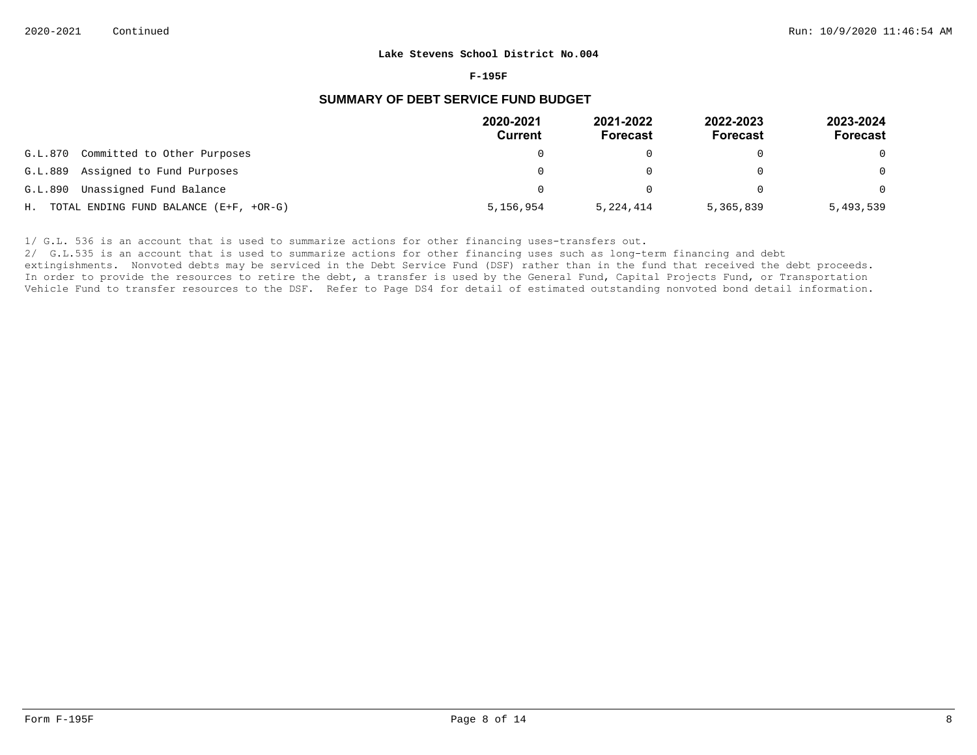#### **F-195F**

### **SUMMARY OF DEBT SERVICE FUND BUDGET**

|                                           | 2020-2021<br>Current | 2021-2022<br><b>Forecast</b> | 2022-2023<br><b>Forecast</b> | 2023-2024<br>Forecast |
|-------------------------------------------|----------------------|------------------------------|------------------------------|-----------------------|
| G.L.870<br>Committed to Other Purposes    |                      |                              |                              | $\Omega$              |
| G.L.889<br>Assigned to Fund Purposes      |                      |                              |                              | $\Omega$              |
| G.L.890<br>Unassigned Fund Balance        |                      |                              |                              | $\Omega$              |
| H. TOTAL ENDING FUND BALANCE (E+F, +OR-G) | 5,156,954            | 5,224,414                    | 5,365,839                    | 5,493,539             |

1/ G.L. 536 is an account that is used to summarize actions for other financing uses-transfers out.

2/ G.L.535 is an account that is used to summarize actions for other financing uses such as long-term financing and debt

extingishments. Nonvoted debts may be serviced in the Debt Service Fund (DSF) rather than in the fund that received the debt proceeds. In order to provide the resources to retire the debt, a transfer is used by the General Fund, Capital Projects Fund, or Transportation Vehicle Fund to transfer resources to the DSF. Refer to Page DS4 for detail of estimated outstanding nonvoted bond detail information.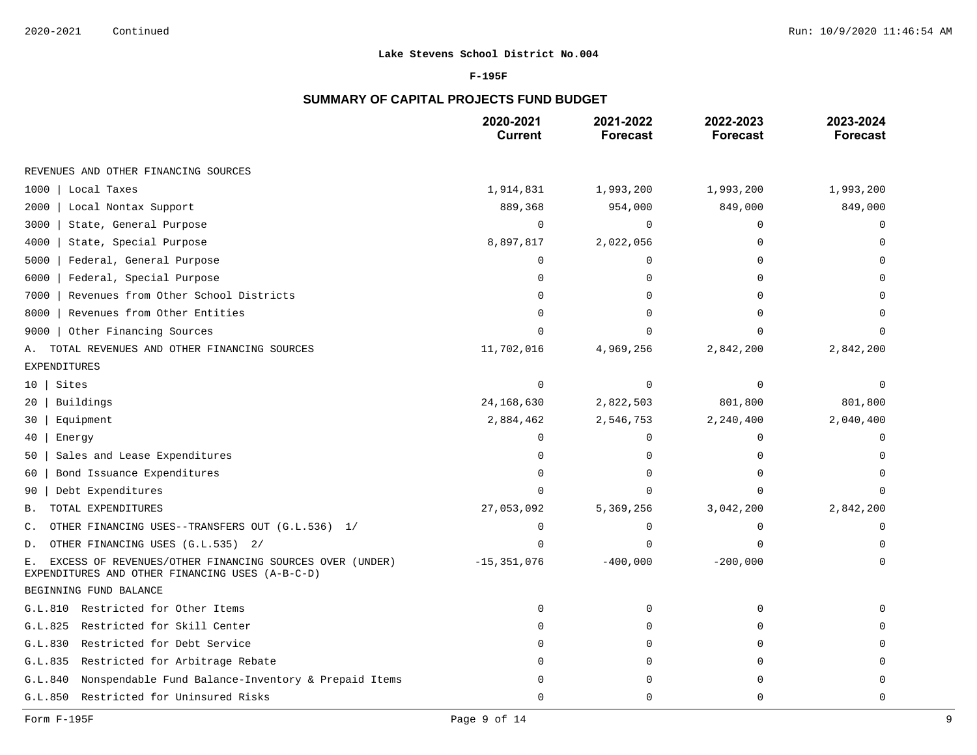### **F-195F**

# **SUMMARY OF CAPITAL PROJECTS FUND BUDGET**

|                                                                                                                  | 2020-2021<br><b>Current</b> | 2021-2022<br><b>Forecast</b> | 2022-2023<br><b>Forecast</b> | 2023-2024<br><b>Forecast</b> |
|------------------------------------------------------------------------------------------------------------------|-----------------------------|------------------------------|------------------------------|------------------------------|
| REVENUES AND OTHER FINANCING SOURCES                                                                             |                             |                              |                              |                              |
| 1000<br>Local Taxes                                                                                              | 1,914,831                   | 1,993,200                    | 1,993,200                    | 1,993,200                    |
| 2000<br>Local Nontax Support                                                                                     | 889,368                     | 954,000                      | 849,000                      | 849,000                      |
| 3000<br>State, General Purpose                                                                                   | $\mathbf 0$                 | $\Omega$                     | $\mathbf 0$                  | 0                            |
| 4000<br>State, Special Purpose                                                                                   | 8,897,817                   | 2,022,056                    | 0                            | $\Omega$                     |
| 5000<br>Federal, General Purpose                                                                                 | $\mathbf 0$                 | $\Omega$                     | $\Omega$                     |                              |
| Federal, Special Purpose<br>6000                                                                                 | $\Omega$                    | $\Omega$                     | $\Omega$                     |                              |
| 7000<br>Revenues from Other School Districts                                                                     | $\Omega$                    | $\Omega$                     | $\Omega$                     |                              |
| Revenues from Other Entities<br>8000                                                                             | $\Omega$                    | 0                            | $\Omega$                     | $\Omega$                     |
| Other Financing Sources<br>9000                                                                                  | $\cap$                      | $\cap$                       | $\Omega$                     |                              |
| TOTAL REVENUES AND OTHER FINANCING SOURCES<br>Α.                                                                 | 11,702,016                  | 4,969,256                    | 2,842,200                    | 2,842,200                    |
| <b>EXPENDITURES</b>                                                                                              |                             |                              |                              |                              |
| Sites<br>10 <sub>1</sub>                                                                                         | $\mathbf 0$                 | $\Omega$                     | $\Omega$                     | $\Omega$                     |
| Buildings<br>20                                                                                                  | 24, 168, 630                | 2,822,503                    | 801,800                      | 801,800                      |
| Equipment<br>30                                                                                                  | 2,884,462                   | 2,546,753                    | 2,240,400                    | 2,040,400                    |
| 40<br>Energy                                                                                                     | $\mathbf 0$                 | $\Omega$                     | $\mathbf 0$                  | $\Omega$                     |
| Sales and Lease Expenditures<br>50                                                                               | $\cap$                      | $\Omega$                     | $\Omega$                     | $\Omega$                     |
| Bond Issuance Expenditures<br>60                                                                                 | $\Omega$                    | 0                            | $\Omega$                     | $\Omega$                     |
| Debt Expenditures<br>90                                                                                          | $\cap$                      | $\Omega$                     | $\Omega$                     | $\Omega$                     |
| TOTAL EXPENDITURES<br>Β.                                                                                         | 27,053,092                  | 5,369,256                    | 3,042,200                    | 2,842,200                    |
| OTHER FINANCING USES--TRANSFERS OUT (G.L.536) 1/<br>$\mathsf{C}$ .                                               | $\mathbf 0$                 | $\mathbf 0$                  | $\mathbf 0$                  | $\mathbf 0$                  |
| OTHER FINANCING USES (G.L.535) 2/<br>D.                                                                          | $\cap$                      | $\Omega$                     | $\Omega$                     | $\cap$                       |
| EXCESS OF REVENUES/OTHER FINANCING SOURCES OVER (UNDER)<br>Ε.<br>EXPENDITURES AND OTHER FINANCING USES (A-B-C-D) | $-15, 351, 076$             | $-400,000$                   | $-200,000$                   | $\Omega$                     |
| BEGINNING FUND BALANCE                                                                                           |                             |                              |                              |                              |
| G.L.810 Restricted for Other Items                                                                               | $\Omega$                    | $\mathbf 0$                  | $\Omega$                     | $\Omega$                     |
| Restricted for Skill Center<br>G.L.825                                                                           |                             | 0                            | 0                            |                              |
| Restricted for Debt Service<br>G.L.830                                                                           | ∩                           | $\mathbf{0}$                 | $\Omega$                     | $\Omega$                     |
| Restricted for Arbitrage Rebate<br>G.L.835                                                                       |                             | 0                            | $\Omega$                     | $\Omega$                     |
| Nonspendable Fund Balance-Inventory & Prepaid Items<br>G.L.840                                                   |                             | $\Omega$                     | $\Omega$                     | $\Omega$                     |
| G.L.850 Restricted for Uninsured Risks                                                                           | $\Omega$                    | $\Omega$                     | $\Omega$                     | 0                            |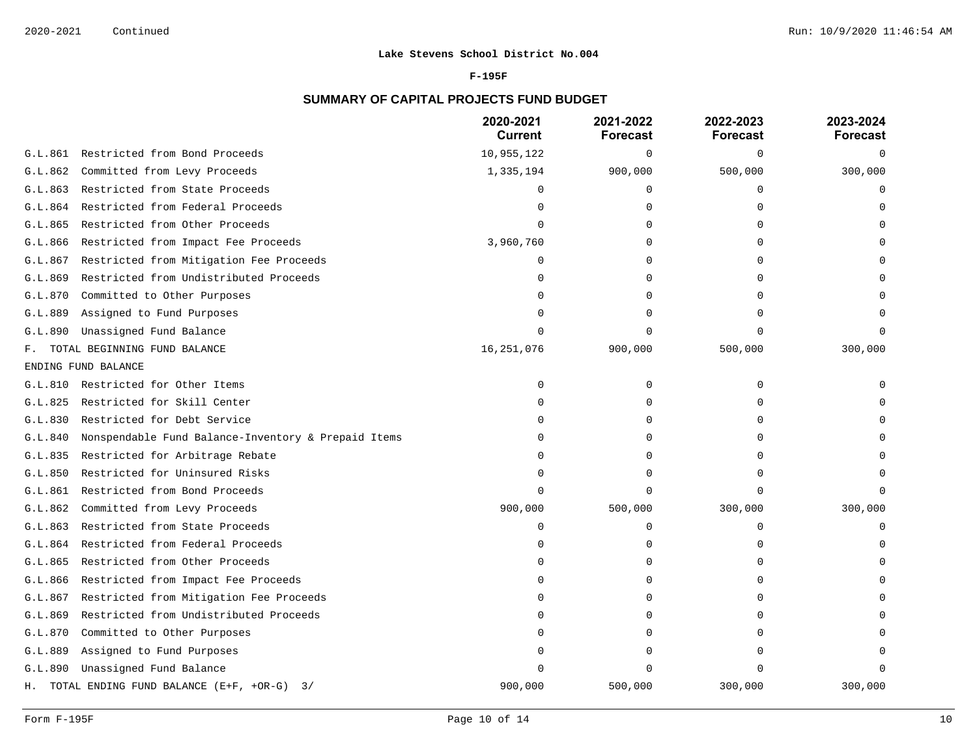### **F-195F**

# **SUMMARY OF CAPITAL PROJECTS FUND BUDGET**

|         |                                                     | 2020-2021<br><b>Current</b> | 2021-2022<br>Forecast | 2022-2023<br><b>Forecast</b> | 2023-2024<br><b>Forecast</b> |
|---------|-----------------------------------------------------|-----------------------------|-----------------------|------------------------------|------------------------------|
| G.L.861 | Restricted from Bond Proceeds                       | 10,955,122                  | 0                     | $\mathbf 0$                  | $\Omega$                     |
| G.L.862 | Committed from Levy Proceeds                        | 1,335,194                   | 900,000               | 500,000                      | 300,000                      |
| G.L.863 | Restricted from State Proceeds                      | $\Omega$                    | $\mathbf 0$           | $\Omega$                     | ∩                            |
| G.L.864 | Restricted from Federal Proceeds                    | $\Omega$                    | 0                     | $\Omega$                     |                              |
| G.L.865 | Restricted from Other Proceeds                      | $\Omega$                    | 0                     | ∩                            |                              |
| G.L.866 | Restricted from Impact Fee Proceeds                 | 3,960,760                   | $\Omega$              | ∩                            |                              |
| G.L.867 | Restricted from Mitigation Fee Proceeds             | $\Omega$                    | $\Omega$              |                              |                              |
| G.L.869 | Restricted from Undistributed Proceeds              | $\Omega$                    | 0                     |                              |                              |
| G.L.870 | Committed to Other Purposes                         | $\cap$                      | O                     | ∩                            |                              |
| G.L.889 | Assigned to Fund Purposes                           | $\Omega$                    | 0                     |                              |                              |
| G.L.890 | Unassigned Fund Balance                             | $\Omega$                    | $\cap$                | $\Omega$                     |                              |
| F.      | TOTAL BEGINNING FUND BALANCE                        | 16, 251, 076                | 900,000               | 500,000                      | 300,000                      |
|         | ENDING FUND BALANCE                                 |                             |                       |                              |                              |
| G.L.810 | Restricted for Other Items                          | $\Omega$                    | $\mathbf 0$           | $\Omega$                     |                              |
| G.L.825 | Restricted for Skill Center                         | $\Omega$                    | 0                     | $\Omega$                     |                              |
| G.L.830 | Restricted for Debt Service                         | $\cap$                      | $\Omega$              | ∩                            |                              |
| G.L.840 | Nonspendable Fund Balance-Inventory & Prepaid Items | $\Omega$                    | $\Omega$              | $\Omega$                     |                              |
| G.L.835 | Restricted for Arbitrage Rebate                     | $\Omega$                    | 0                     | $\Omega$                     |                              |
| G.L.850 | Restricted for Uninsured Risks                      | $\cap$                      | $\Omega$              | ∩                            |                              |
| G.L.861 | Restricted from Bond Proceeds                       | $\Omega$                    | $\Omega$              | $\Omega$                     |                              |
| G.L.862 | Committed from Levy Proceeds                        | 900,000                     | 500,000               | 300,000                      | 300,000                      |
| G.L.863 | Restricted from State Proceeds                      | $\Omega$                    | 0                     | $\Omega$                     |                              |
| G.L.864 | Restricted from Federal Proceeds                    | $\Omega$                    | $\Omega$              | $\Omega$                     |                              |
| G.L.865 | Restricted from Other Proceeds                      | $\Omega$                    | $\mathbf 0$           | $\Omega$                     |                              |
| G.L.866 | Restricted from Impact Fee Proceeds                 | $\Omega$                    | 0                     | $\Omega$                     |                              |
| G.L.867 | Restricted from Mitigation Fee Proceeds             | $\cap$                      | $\Omega$              | ∩                            |                              |
| G.L.869 | Restricted from Undistributed Proceeds              | U                           | 0                     | ∩                            |                              |
| G.L.870 | Committed to Other Purposes                         | O                           | 0                     | $\Omega$                     |                              |
| G.L.889 | Assigned to Fund Purposes                           |                             | O                     | $\Omega$                     |                              |
| G.L.890 | Unassigned Fund Balance                             |                             |                       | ∩                            |                              |
| Н.      | TOTAL ENDING FUND BALANCE (E+F, +OR-G) 3/           | 900,000                     | 500,000               | 300,000                      | 300,000                      |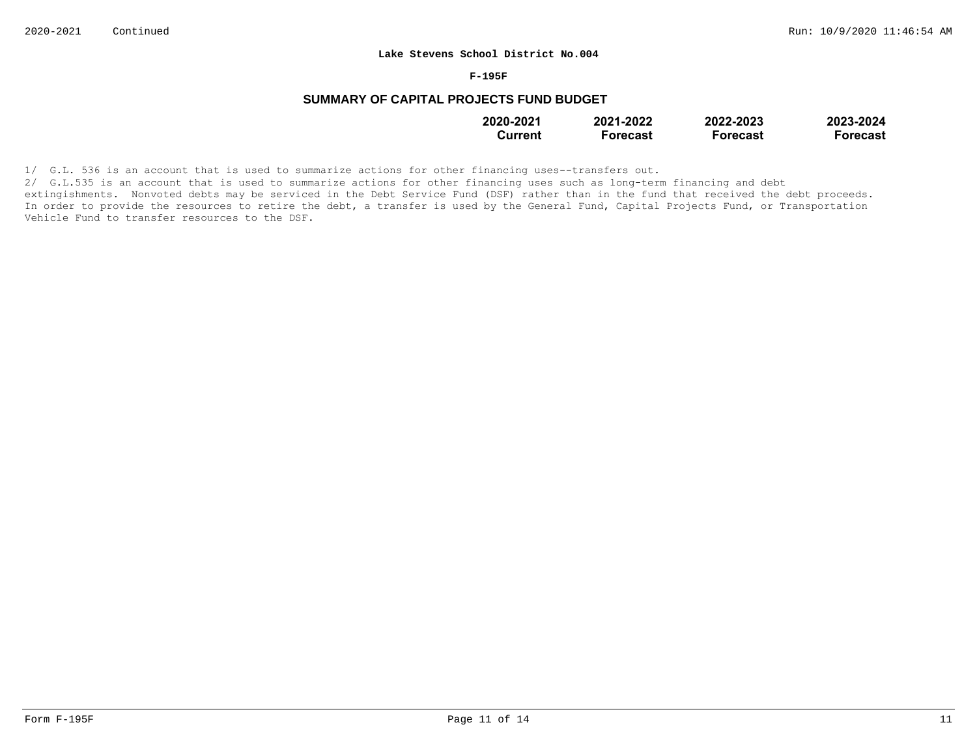#### **F-195F**

# **SUMMARY OF CAPITAL PROJECTS FUND BUDGET**

| 2020-2021 | 2021-2022 | 2022-2023       | 2023-2024 |
|-----------|-----------|-----------------|-----------|
| Current   | Forecast  | <b>Forecast</b> | Forecast  |

1/ G.L. 536 is an account that is used to summarize actions for other financing uses--transfers out.

2/ G.L.535 is an account that is used to summarize actions for other financing uses such as long-term financing and debt extingishments. Nonvoted debts may be serviced in the Debt Service Fund (DSF) rather than in the fund that received the debt proceeds. In order to provide the resources to retire the debt, a transfer is used by the General Fund, Capital Projects Fund, or Transportation Vehicle Fund to transfer resources to the DSF.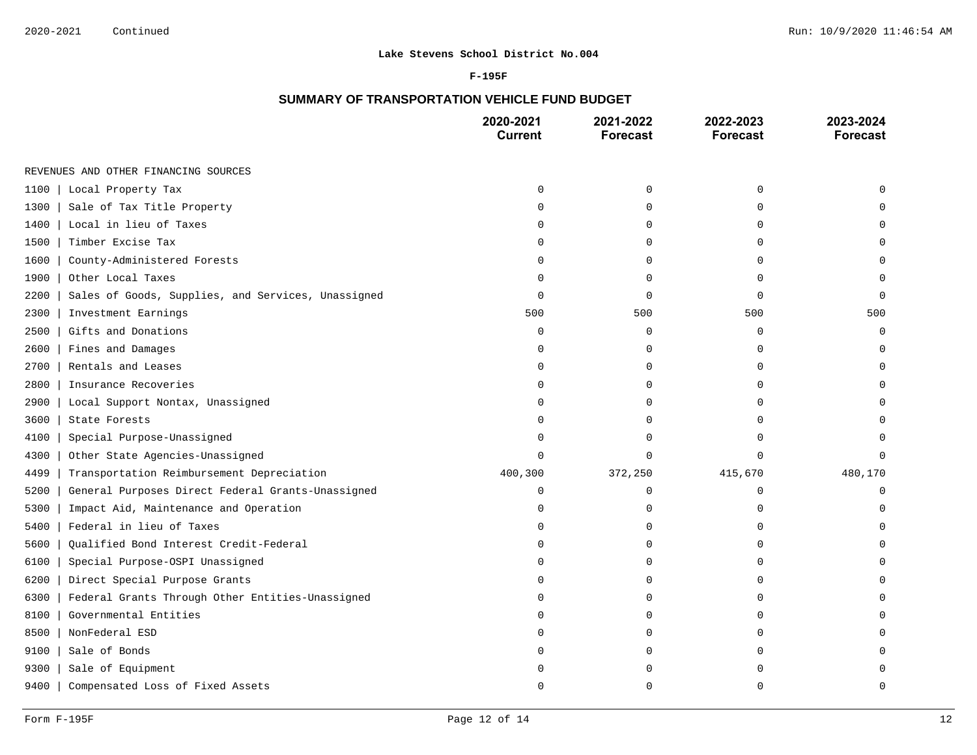### **F-195F**

# **SUMMARY OF TRANSPORTATION VEHICLE FUND BUDGET**

|                                                            | 2020-2021<br><b>Current</b> | 2021-2022<br><b>Forecast</b> | 2022-2023<br><b>Forecast</b> | 2023-2024<br><b>Forecast</b> |
|------------------------------------------------------------|-----------------------------|------------------------------|------------------------------|------------------------------|
| REVENUES AND OTHER FINANCING SOURCES                       |                             |                              |                              |                              |
| 1100<br>Local Property Tax                                 | $\Omega$                    | $\mathbf 0$                  | $\mathbf 0$                  |                              |
| 1300<br>Sale of Tax Title Property                         | 0                           | $\mathbf 0$                  | 0                            |                              |
| Local in lieu of Taxes<br>1400                             | U                           | 0                            | 0                            |                              |
| Timber Excise Tax<br>1500                                  | O                           | $\Omega$                     | $\Omega$                     |                              |
| 1600<br>County-Administered Forests                        | O                           | $\mathbf 0$                  | $\Omega$                     |                              |
| 1900<br>Other Local Taxes                                  | 0                           | $\mathbf 0$                  | 0                            | $\Omega$                     |
| Sales of Goods, Supplies, and Services, Unassigned<br>2200 | $\Omega$                    | $\mathbf 0$                  | $\Omega$                     | $\Omega$                     |
| 2300<br>Investment Earnings                                | 500                         | 500                          | 500                          | 500                          |
| Gifts and Donations<br>2500                                | 0                           | 0                            | 0                            | 0                            |
| Fines and Damages<br>2600                                  | $\mathbf 0$                 | $\mathbf 0$                  | $\mathbf 0$                  | U                            |
| Rentals and Leases<br>2700                                 | $\Omega$                    | 0                            | $\Omega$                     | U                            |
| Insurance Recoveries<br>2800                               | O                           | $\mathbf 0$                  | $\Omega$                     |                              |
| 2900<br>Local Support Nontax, Unassigned                   | O                           | $\mathbf 0$                  | 0                            |                              |
| 3600<br>State Forests                                      | U                           | $\Omega$                     | $\cap$                       |                              |
| 4100<br>Special Purpose-Unassigned                         | O                           | $\Omega$                     | $\Omega$                     |                              |
| Other State Agencies-Unassigned<br>4300                    | $\Omega$                    | $\mathbf 0$                  | $\mathbf 0$                  | U                            |
| Transportation Reimbursement Depreciation<br>4499          | 400,300                     | 372,250                      | 415,670                      | 480,170                      |
| 5200<br>General Purposes Direct Federal Grants-Unassigned  | $\mathbf 0$                 | $\mathbf 0$                  | $\mathbf 0$                  | 0                            |
| Impact Aid, Maintenance and Operation<br>5300              | 0                           | $\mathbf 0$                  | 0                            | U                            |
| Federal in lieu of Taxes<br>5400                           | $\Omega$                    | 0                            | $\mathbf 0$                  | U                            |
| Qualified Bond Interest Credit-Federal<br>5600             | $\Omega$                    | $\Omega$                     | $\Omega$                     | U                            |
| 6100<br>Special Purpose-OSPI Unassigned                    | $\Omega$                    | $\mathbf 0$                  | $\Omega$                     |                              |
| 6200<br>Direct Special Purpose Grants                      | $\Omega$                    | 0                            | $\mathbf 0$                  | U                            |
| Federal Grants Through Other Entities-Unassigned<br>6300   | 0                           | 0                            | $\cap$                       |                              |
| Governmental Entities<br>8100                              | U                           | 0                            | $\Omega$                     |                              |
| 8500<br>NonFederal ESD                                     | O                           | $\mathbf 0$                  | 0                            |                              |
| 9100<br>Sale of Bonds                                      | O                           | 0                            | O                            |                              |
| 9300<br>Sale of Equipment                                  |                             | O                            | U                            |                              |
| 9400<br>Compensated Loss of Fixed Assets                   | U                           | $\Omega$                     | $\Omega$                     | U                            |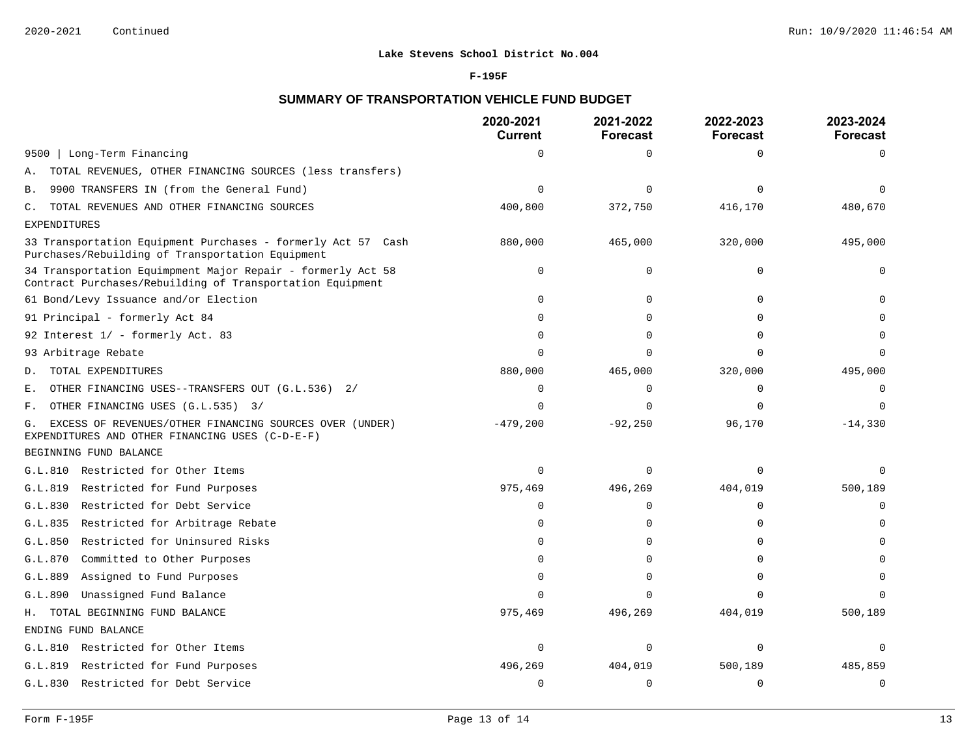### **F-195F**

# **SUMMARY OF TRANSPORTATION VEHICLE FUND BUDGET**

|                                                                                                                          | 2020-2021<br><b>Current</b> | 2021-2022<br><b>Forecast</b> | 2022-2023<br><b>Forecast</b> | 2023-2024<br><b>Forecast</b> |
|--------------------------------------------------------------------------------------------------------------------------|-----------------------------|------------------------------|------------------------------|------------------------------|
| Long-Term Financing<br>9500                                                                                              | $\Omega$                    | $\mathbf 0$                  | $\Omega$                     | $\mathbf 0$                  |
| TOTAL REVENUES, OTHER FINANCING SOURCES (less transfers)<br>Α.                                                           |                             |                              |                              |                              |
| 9900 TRANSFERS IN (from the General Fund)<br>Β.                                                                          | $\Omega$                    | $\Omega$                     | $\Omega$                     | $\Omega$                     |
| TOTAL REVENUES AND OTHER FINANCING SOURCES<br>C.                                                                         | 400,800                     | 372,750                      | 416,170                      | 480,670                      |
| <b>EXPENDITURES</b>                                                                                                      |                             |                              |                              |                              |
| 33 Transportation Equipment Purchases - formerly Act 57 Cash<br>Purchases/Rebuilding of Transportation Equipment         | 880,000                     | 465,000                      | 320,000                      | 495,000                      |
| 34 Transportation Equimpment Major Repair - formerly Act 58<br>Contract Purchases/Rebuilding of Transportation Equipment | 0                           | $\mathbf 0$                  | $\Omega$                     |                              |
| 61 Bond/Levy Issuance and/or Election                                                                                    | $\Omega$                    | $\Omega$                     | $\Omega$                     |                              |
| 91 Principal - formerly Act 84                                                                                           | ∩                           | $\Omega$                     | $\Omega$                     |                              |
| 92 Interest 1/ - formerly Act. 83                                                                                        | $\Omega$                    | $\Omega$                     | $\Omega$                     |                              |
| 93 Arbitrage Rebate                                                                                                      | $\Omega$                    | $\Omega$                     | $\Omega$                     | n                            |
| TOTAL EXPENDITURES<br>D.                                                                                                 | 880,000                     | 465,000                      | 320,000                      | 495,000                      |
| OTHER FINANCING USES--TRANSFERS OUT (G.L.536) 2/<br>Ε.                                                                   | $\Omega$                    | $\Omega$                     | $\Omega$                     | 0                            |
| OTHER FINANCING USES (G.L.535) 3/<br>F.                                                                                  | $\Omega$                    | $\Omega$                     | $\Omega$                     | $\Omega$                     |
| EXCESS OF REVENUES/OTHER FINANCING SOURCES OVER (UNDER)<br>G.<br>EXPENDITURES AND OTHER FINANCING USES (C-D-E-F)         | $-479,200$                  | $-92,250$                    | 96,170                       | $-14,330$                    |
| BEGINNING FUND BALANCE                                                                                                   |                             |                              |                              |                              |
| G.L.810 Restricted for Other Items                                                                                       | $\Omega$                    | $\Omega$                     | $\Omega$                     |                              |
| G.L.819 Restricted for Fund Purposes                                                                                     | 975,469                     | 496,269                      | 404,019                      | 500,189                      |
| Restricted for Debt Service<br>G.L.830                                                                                   | $\Omega$                    | $\mathbf 0$                  | $\Omega$                     | $\Omega$                     |
| Restricted for Arbitrage Rebate<br>G.L.835                                                                               | $\Omega$                    | $\Omega$                     | ∩                            |                              |
| G.L.850<br>Restricted for Uninsured Risks                                                                                | $\Omega$                    | $\Omega$                     | $\Omega$                     |                              |
| Committed to Other Purposes<br>G.L.870                                                                                   | $\Omega$                    | $\Omega$                     | n                            |                              |
| G.L.889<br>Assigned to Fund Purposes                                                                                     | $\Omega$                    | $\Omega$                     | ∩                            |                              |
| Unassigned Fund Balance<br>G.L.890                                                                                       | $\Omega$                    | $\Omega$                     | n                            | $\cap$                       |
| H. TOTAL BEGINNING FUND BALANCE                                                                                          | 975,469                     | 496,269                      | 404,019                      | 500,189                      |
| ENDING FUND BALANCE                                                                                                      |                             |                              |                              |                              |
| G.L.810 Restricted for Other Items                                                                                       | $\Omega$                    | $\Omega$                     | $\Omega$                     |                              |
| Restricted for Fund Purposes<br>G.L.819                                                                                  | 496,269                     | 404,019                      | 500,189                      | 485,859                      |
| G.L.830 Restricted for Debt Service                                                                                      | $\Omega$                    | $\Omega$                     | $\Omega$                     | $\mathbf 0$                  |